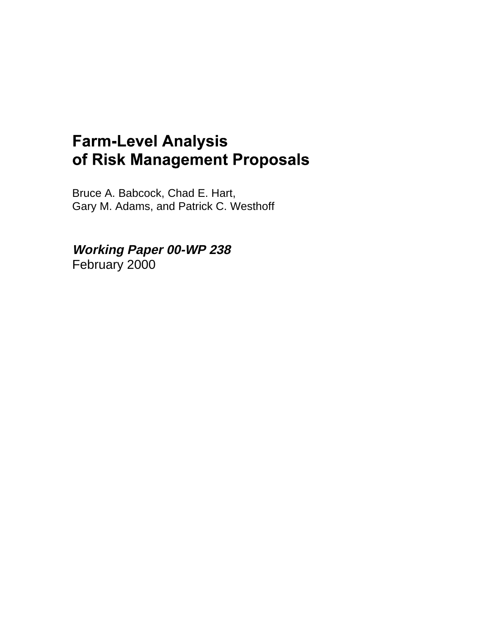# **Farm-Level Analysis** of Risk Management Proposals

Bruce A. Babcock, Chad E. Hart, Gary M. Adams, and Patrick C. Westhoff

**Working Paper 00-WP 238**  February 2000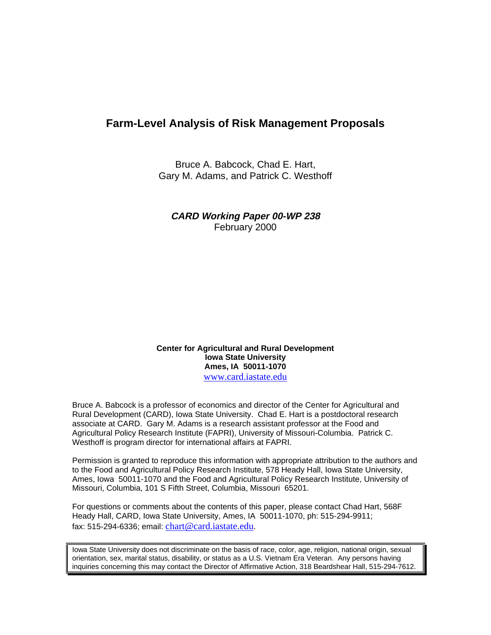# **Farm-Level Analysis of Risk Management Proposals**

Bruce A. Babcock, Chad E. Hart, Gary M. Adams, and Patrick C. Westhoff

# **CARD Working Paper 00-WP 238**  February 2000

**Center for Agricultural and Rural Development Iowa State University Ames, IA 50011-1070**  www.card.iastate.edu

Bruce A. Babcock is a professor of economics and director of the Center for Agricultural and Rural Development (CARD), Iowa State University. Chad E. Hart is a postdoctoral research associate at CARD. Gary M. Adams is a research assistant professor at the Food and Agricultural Policy Research Institute (FAPRI), University of Missouri-Columbia. Patrick C. Westhoff is program director for international affairs at FAPRI.

Permission is granted to reproduce this information with appropriate attribution to the authors and to the Food and Agricultural Policy Research Institute, 578 Heady Hall, Iowa State University, Ames, Iowa 50011-1070 and the Food and Agricultural Policy Research Institute, University of Missouri, Columbia, 101 S Fifth Street, Columbia, Missouri 65201.

For questions or comments about the contents of this paper, please contact Chad Hart, 568F Heady Hall, CARD, Iowa State University, Ames, IA 50011-1070, ph: 515-294-9911; fax: 515-294-6336; email: chart@card.iastate.edu.

Iowa State University does not discriminate on the basis of race, color, age, religion, national origin, sexual orientation, sex, marital status, disability, or status as a U.S. Vietnam Era Veteran. Any persons having inquiries concerning this may contact the Director of Affirmative Action, 318 Beardshear Hall, 515-294-7612.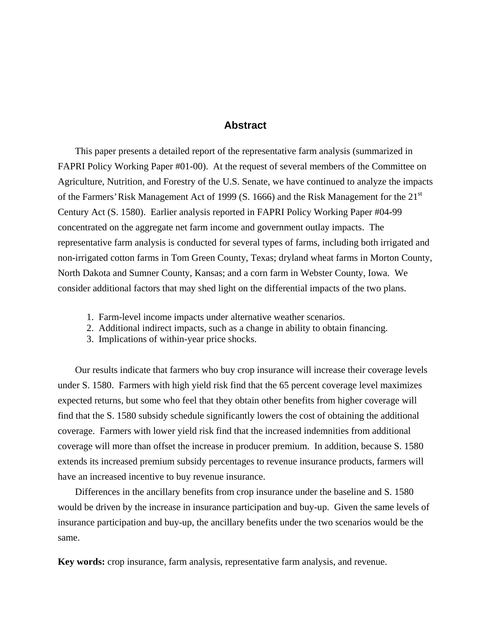## **Abstract**

This paper presents a detailed report of the representative farm analysis (summarized in FAPRI Policy Working Paper #01-00). At the request of several members of the Committee on Agriculture, Nutrition, and Forestry of the U.S. Senate, we have continued to analyze the impacts of the Farmers' Risk Management Act of 1999 (S. 1666) and the Risk Management for the 21<sup>st</sup> Century Act (S. 1580). Earlier analysis reported in FAPRI Policy Working Paper #04-99 concentrated on the aggregate net farm income and government outlay impacts. The representative farm analysis is conducted for several types of farms, including both irrigated and non-irrigated cotton farms in Tom Green County, Texas; dryland wheat farms in Morton County, North Dakota and Sumner County, Kansas; and a corn farm in Webster County, Iowa. We consider additional factors that may shed light on the differential impacts of the two plans.

- 1. Farm-level income impacts under alternative weather scenarios.
- 2. Additional indirect impacts, such as a change in ability to obtain financing.
- 3. Implications of within-year price shocks.

Our results indicate that farmers who buy crop insurance will increase their coverage levels under S. 1580. Farmers with high yield risk find that the 65 percent coverage level maximizes expected returns, but some who feel that they obtain other benefits from higher coverage will find that the S. 1580 subsidy schedule significantly lowers the cost of obtaining the additional coverage. Farmers with lower yield risk find that the increased indemnities from additional coverage will more than offset the increase in producer premium. In addition, because S. 1580 extends its increased premium subsidy percentages to revenue insurance products, farmers will have an increased incentive to buy revenue insurance.

Differences in the ancillary benefits from crop insurance under the baseline and S. 1580 would be driven by the increase in insurance participation and buy-up. Given the same levels of insurance participation and buy-up, the ancillary benefits under the two scenarios would be the same.

**Key words:** crop insurance, farm analysis, representative farm analysis, and revenue.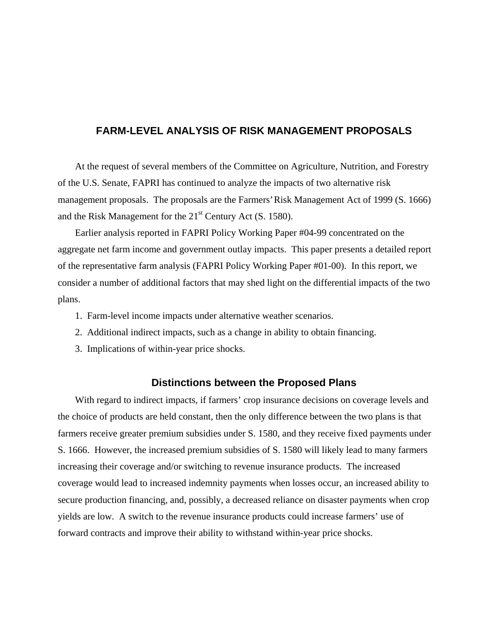# **FARM-LEVEL ANALYSIS OF RISK MANAGEMENT PROPOSALS**

At the request of several members of the Committee on Agriculture, Nutrition, and Forestry of the U.S. Senate, FAPRI has continued to analyze the impacts of two alternative risk management proposals. The proposals are the Farmers' Risk Management Act of 1999 (S. 1666) and the Risk Management for the  $21<sup>st</sup>$  Century Act (S. 1580).

Earlier analysis reported in FAPRI Policy Working Paper #04-99 concentrated on the aggregate net farm income and government outlay impacts. This paper presents a detailed report of the representative farm analysis (FAPRI Policy Working Paper #01-00). In this report, we consider a number of additional factors that may shed light on the differential impacts of the two plans.

- 1. Farm-level income impacts under alternative weather scenarios.
- 2. Additional indirect impacts, such as a change in ability to obtain financing.
- 3. Implications of within-year price shocks.

## **Distinctions between the Proposed Plans**

With regard to indirect impacts, if farmers' crop insurance decisions on coverage levels and the choice of products are held constant, then the only difference between the two plans is that farmers receive greater premium subsidies under S. 1580, and they receive fixed payments under S. 1666. However, the increased premium subsidies of S. 1580 will likely lead to many farmers increasing their coverage and/or switching to revenue insurance products. The increased coverage would lead to increased indemnity payments when losses occur, an increased ability to secure production financing, and, possibly, a decreased reliance on disaster payments when crop yields are low. A switch to the revenue insurance products could increase farmers' use of forward contracts and improve their ability to withstand within-year price shocks.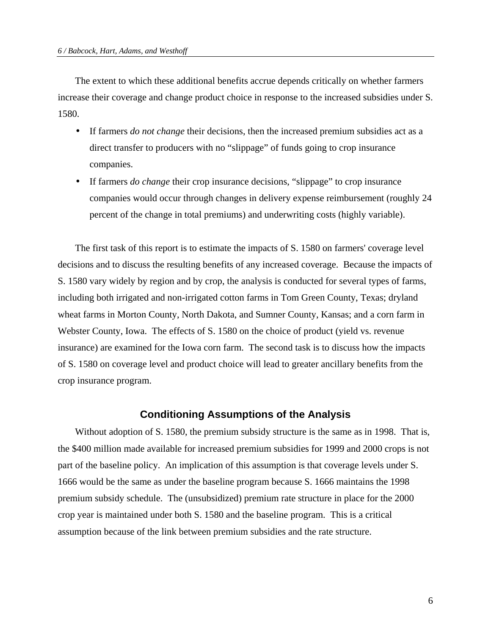The extent to which these additional benefits accrue depends critically on whether farmers increase their coverage and change product choice in response to the increased subsidies under S. 1580.

- If farmers *do not change* their decisions, then the increased premium subsidies act as a direct transfer to producers with no "slippage" of funds going to crop insurance companies.
- If farmers *do change* their crop insurance decisions, "slippage" to crop insurance companies would occur through changes in delivery expense reimbursement (roughly 24 percent of the change in total premiums) and underwriting costs (highly variable).

The first task of this report is to estimate the impacts of S. 1580 on farmers' coverage level decisions and to discuss the resulting benefits of any increased coverage. Because the impacts of S. 1580 vary widely by region and by crop, the analysis is conducted for several types of farms, including both irrigated and non-irrigated cotton farms in Tom Green County, Texas; dryland wheat farms in Morton County, North Dakota, and Sumner County, Kansas; and a corn farm in Webster County, Iowa. The effects of S. 1580 on the choice of product (yield vs. revenue insurance) are examined for the Iowa corn farm. The second task is to discuss how the impacts of S. 1580 on coverage level and product choice will lead to greater ancillary benefits from the crop insurance program.

#### **Conditioning Assumptions of the Analysis**

Without adoption of S. 1580, the premium subsidy structure is the same as in 1998. That is, the \$400 million made available for increased premium subsidies for 1999 and 2000 crops is not part of the baseline policy. An implication of this assumption is that coverage levels under S. 1666 would be the same as under the baseline program because S. 1666 maintains the 1998 premium subsidy schedule. The (unsubsidized) premium rate structure in place for the 2000 crop year is maintained under both S. 1580 and the baseline program. This is a critical assumption because of the link between premium subsidies and the rate structure.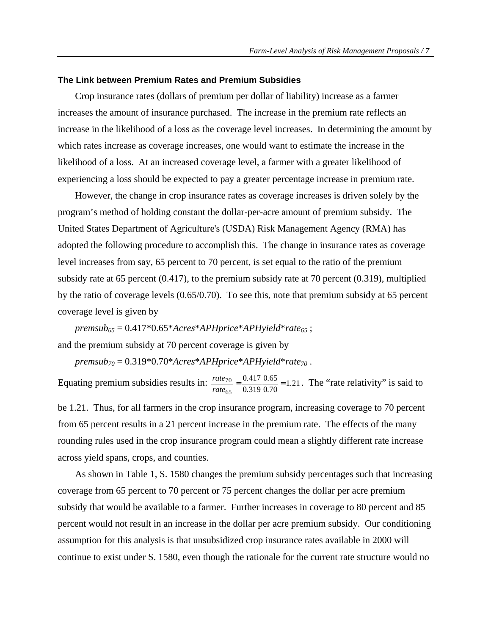#### **The Link between Premium Rates and Premium Subsidies**

Crop insurance rates (dollars of premium per dollar of liability) increase as a farmer increases the amount of insurance purchased. The increase in the premium rate reflects an increase in the likelihood of a loss as the coverage level increases. In determining the amount by which rates increase as coverage increases, one would want to estimate the increase in the likelihood of a loss. At an increased coverage level, a farmer with a greater likelihood of experiencing a loss should be expected to pay a greater percentage increase in premium rate.

However, the change in crop insurance rates as coverage increases is driven solely by the program's method of holding constant the dollar-per-acre amount of premium subsidy. The United States Department of Agriculture's (USDA) Risk Management Agency (RMA) has adopted the following procedure to accomplish this. The change in insurance rates as coverage level increases from say, 65 percent to 70 percent, is set equal to the ratio of the premium subsidy rate at 65 percent (0.417), to the premium subsidy rate at 70 percent (0.319), multiplied by the ratio of coverage levels (0.65/0.70). To see this, note that premium subsidy at 65 percent coverage level is given by

*premsub65* = 0.417\*0.65\**Acres*\**APHprice*\**APHyield*\**rate65* ; and the premium subsidy at 70 percent coverage is given by

 $p$ *remsub<sub>70</sub>* = 0.319\*0.70\**Acres*\**APHprice*\**APHyield*\**rate<sub>70</sub>*.

Equating premium subsidies results in:  $\frac{r_{\text{at}}^{270}}{rate_{65}} = \frac{0.417}{0.319} \frac{0.05}{0.70} = 1.21$  $0.65$ 0.319 0.417  $\frac{70}{65} = \frac{0.417}{0.319} \frac{0.65}{0.70} = 1.$ *. .*  $\frac{rate_{70}}{rate_{65}} = \frac{0.417}{0.319} \frac{0.65}{0.70} = 1.21$ . The "rate relativity" is said to

be 1.21. Thus, for all farmers in the crop insurance program, increasing coverage to 70 percent from 65 percent results in a 21 percent increase in the premium rate. The effects of the many rounding rules used in the crop insurance program could mean a slightly different rate increase across yield spans, crops, and counties.

As shown in Table 1, S. 1580 changes the premium subsidy percentages such that increasing coverage from 65 percent to 70 percent or 75 percent changes the dollar per acre premium subsidy that would be available to a farmer. Further increases in coverage to 80 percent and 85 percent would not result in an increase in the dollar per acre premium subsidy. Our conditioning assumption for this analysis is that unsubsidized crop insurance rates available in 2000 will continue to exist under S. 1580, even though the rationale for the current rate structure would no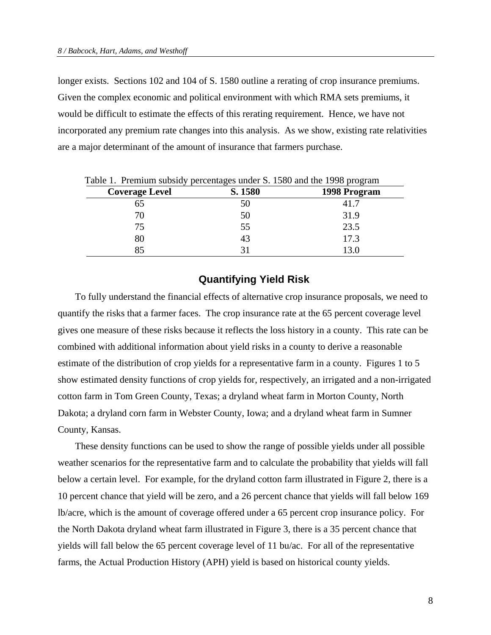longer exists. Sections 102 and 104 of S. 1580 outline a rerating of crop insurance premiums. Given the complex economic and political environment with which RMA sets premiums, it would be difficult to estimate the effects of this rerating requirement. Hence, we have not incorporated any premium rate changes into this analysis. As we show, existing rate relativities are a major determinant of the amount of insurance that farmers purchase.

| Table 1. I femmall subsidy percentages under B. 1960 and the 1996 program |         |              |  |  |  |  |  |  |  |
|---------------------------------------------------------------------------|---------|--------------|--|--|--|--|--|--|--|
| <b>Coverage Level</b>                                                     | S. 1580 | 1998 Program |  |  |  |  |  |  |  |
| 65                                                                        | 50      | 41.7         |  |  |  |  |  |  |  |
| 70                                                                        | 50      | 31.9         |  |  |  |  |  |  |  |
| 75                                                                        | 55      | 23.5         |  |  |  |  |  |  |  |
| 80                                                                        | 43      | 17.3         |  |  |  |  |  |  |  |
| 85                                                                        |         | 13.0         |  |  |  |  |  |  |  |

Table 1. Premium subsidy percentages under S. 1580 and the 1998 program

# **Quantifying Yield Risk**

To fully understand the financial effects of alternative crop insurance proposals, we need to quantify the risks that a farmer faces. The crop insurance rate at the 65 percent coverage level gives one measure of these risks because it reflects the loss history in a county. This rate can be combined with additional information about yield risks in a county to derive a reasonable estimate of the distribution of crop yields for a representative farm in a county. Figures 1 to 5 show estimated density functions of crop yields for, respectively, an irrigated and a non-irrigated cotton farm in Tom Green County, Texas; a dryland wheat farm in Morton County, North Dakota; a dryland corn farm in Webster County, Iowa; and a dryland wheat farm in Sumner County, Kansas.

These density functions can be used to show the range of possible yields under all possible weather scenarios for the representative farm and to calculate the probability that yields will fall below a certain level. For example, for the dryland cotton farm illustrated in Figure 2, there is a 10 percent chance that yield will be zero, and a 26 percent chance that yields will fall below 169 lb/acre, which is the amount of coverage offered under a 65 percent crop insurance policy. For the North Dakota dryland wheat farm illustrated in Figure 3, there is a 35 percent chance that yields will fall below the 65 percent coverage level of 11 bu/ac. For all of the representative farms, the Actual Production History (APH) yield is based on historical county yields.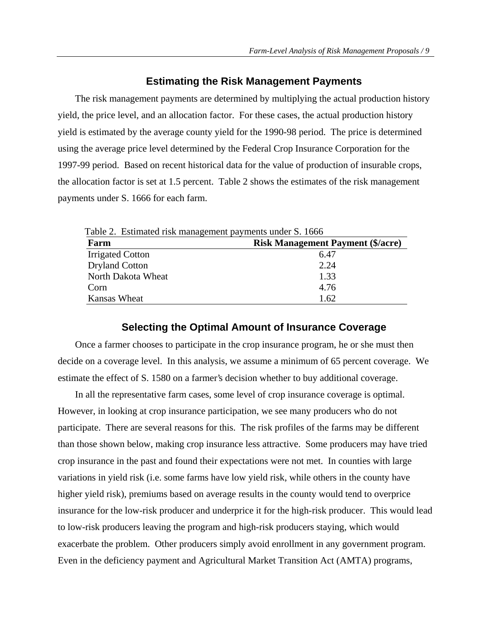# **Estimating the Risk Management Payments**

The risk management payments are determined by multiplying the actual production history yield, the price level, and an allocation factor. For these cases, the actual production history yield is estimated by the average county yield for the 1990-98 period. The price is determined using the average price level determined by the Federal Crop Insurance Corporation for the 1997-99 period. Based on recent historical data for the value of production of insurable crops, the allocation factor is set at 1.5 percent. Table 2 shows the estimates of the risk management payments under S. 1666 for each farm.

| Farm                    | <b>Risk Management Payment (\$/acre)</b> |  |  |
|-------------------------|------------------------------------------|--|--|
| <b>Irrigated Cotton</b> | 6.47                                     |  |  |
| <b>Dryland Cotton</b>   | 2.24                                     |  |  |
| North Dakota Wheat      | 1.33                                     |  |  |
| Corn                    | 4.76                                     |  |  |
| Kansas Wheat            | 1.62                                     |  |  |

## **Selecting the Optimal Amount of Insurance Coverage**

Once a farmer chooses to participate in the crop insurance program, he or she must then decide on a coverage level. In this analysis, we assume a minimum of 65 percent coverage. We estimate the effect of S. 1580 on a farmer's decision whether to buy additional coverage.

In all the representative farm cases, some level of crop insurance coverage is optimal. However, in looking at crop insurance participation, we see many producers who do not participate. There are several reasons for this. The risk profiles of the farms may be different than those shown below, making crop insurance less attractive. Some producers may have tried crop insurance in the past and found their expectations were not met. In counties with large variations in yield risk (i.e. some farms have low yield risk, while others in the county have higher yield risk), premiums based on average results in the county would tend to overprice insurance for the low-risk producer and underprice it for the high-risk producer. This would lead to low-risk producers leaving the program and high-risk producers staying, which would exacerbate the problem. Other producers simply avoid enrollment in any government program. Even in the deficiency payment and Agricultural Market Transition Act (AMTA) programs,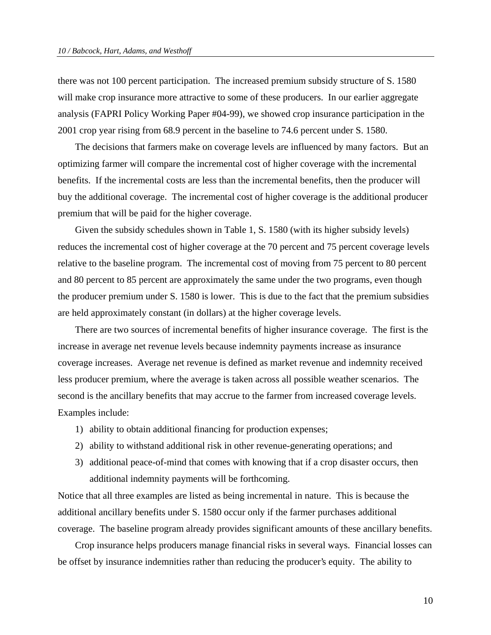there was not 100 percent participation. The increased premium subsidy structure of S. 1580 will make crop insurance more attractive to some of these producers. In our earlier aggregate analysis (FAPRI Policy Working Paper #04-99), we showed crop insurance participation in the 2001 crop year rising from 68.9 percent in the baseline to 74.6 percent under S. 1580.

The decisions that farmers make on coverage levels are influenced by many factors. But an optimizing farmer will compare the incremental cost of higher coverage with the incremental benefits. If the incremental costs are less than the incremental benefits, then the producer will buy the additional coverage. The incremental cost of higher coverage is the additional producer premium that will be paid for the higher coverage.

Given the subsidy schedules shown in Table 1, S. 1580 (with its higher subsidy levels) reduces the incremental cost of higher coverage at the 70 percent and 75 percent coverage levels relative to the baseline program. The incremental cost of moving from 75 percent to 80 percent and 80 percent to 85 percent are approximately the same under the two programs, even though the producer premium under S. 1580 is lower. This is due to the fact that the premium subsidies are held approximately constant (in dollars) at the higher coverage levels.

There are two sources of incremental benefits of higher insurance coverage. The first is the increase in average net revenue levels because indemnity payments increase as insurance coverage increases. Average net revenue is defined as market revenue and indemnity received less producer premium, where the average is taken across all possible weather scenarios. The second is the ancillary benefits that may accrue to the farmer from increased coverage levels. Examples include:

- 1) ability to obtain additional financing for production expenses;
- 2) ability to withstand additional risk in other revenue-generating operations; and
- 3) additional peace-of-mind that comes with knowing that if a crop disaster occurs, then additional indemnity payments will be forthcoming.

Notice that all three examples are listed as being incremental in nature. This is because the additional ancillary benefits under S. 1580 occur only if the farmer purchases additional coverage. The baseline program already provides significant amounts of these ancillary benefits.

Crop insurance helps producers manage financial risks in several ways. Financial losses can be offset by insurance indemnities rather than reducing the producer's equity. The ability to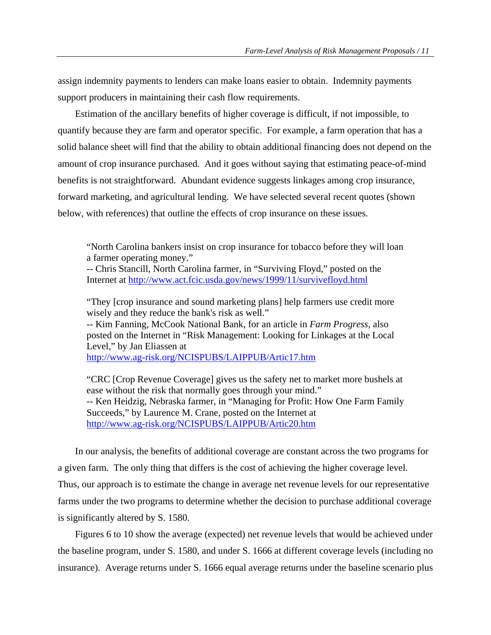assign indemnity payments to lenders can make loans easier to obtain. Indemnity payments support producers in maintaining their cash flow requirements.

Estimation of the ancillary benefits of higher coverage is difficult, if not impossible, to quantify because they are farm and operator specific. For example, a farm operation that has a solid balance sheet will find that the ability to obtain additional financing does not depend on the amount of crop insurance purchased. And it goes without saying that estimating peace-of-mind benefits is not straightforward. Abundant evidence suggests linkages among crop insurance, forward marketing, and agricultural lending. We have selected several recent quotes (shown below, with references) that outline the effects of crop insurance on these issues.

"North Carolina bankers insist on crop insurance for tobacco before they will loan a farmer operating money."

-- Chris Stancill, North Carolina farmer, in "Surviving Floyd," posted on the Internet at http://www.act.fcic.usda.gov/news/1999/11/survivefloyd.html

"They [crop insurance and sound marketing plans] help farmers use credit more wisely and they reduce the bank's risk as well."

-- Kim Fanning, McCook National Bank, for an article in *Farm Progress*, also posted on the Internet in "Risk Management: Looking for Linkages at the Local Level," by Jan Eliassen at

http://www.ag-risk.org/NCISPUBS/LAIPPUB/Artic17.htm

"CRC [Crop Revenue Coverage] gives us the safety net to market more bushels at ease without the risk that normally goes through your mind." -- Ken Heidzig, Nebraska farmer, in "Managing for Profit: How One Farm Family Succeeds," by Laurence M. Crane, posted on the Internet at http://www.ag-risk.org/NCISPUBS/LAIPPUB/Artic20.htm

In our analysis, the benefits of additional coverage are constant across the two programs for a given farm. The only thing that differs is the cost of achieving the higher coverage level. Thus, our approach is to estimate the change in average net revenue levels for our representative farms under the two programs to determine whether the decision to purchase additional coverage is significantly altered by S. 1580.

Figures 6 to 10 show the average (expected) net revenue levels that would be achieved under the baseline program, under S. 1580, and under S. 1666 at different coverage levels (including no insurance). Average returns under S. 1666 equal average returns under the baseline scenario plus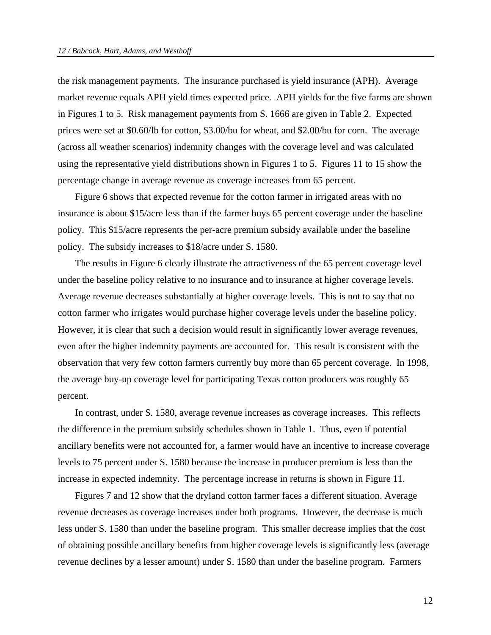the risk management payments. The insurance purchased is yield insurance (APH). Average market revenue equals APH yield times expected price. APH yields for the five farms are shown in Figures 1 to 5. Risk management payments from S. 1666 are given in Table 2. Expected prices were set at \$0.60/lb for cotton, \$3.00/bu for wheat, and \$2.00/bu for corn. The average (across all weather scenarios) indemnity changes with the coverage level and was calculated using the representative yield distributions shown in Figures 1 to 5. Figures 11 to 15 show the percentage change in average revenue as coverage increases from 65 percent.

Figure 6 shows that expected revenue for the cotton farmer in irrigated areas with no insurance is about \$15/acre less than if the farmer buys 65 percent coverage under the baseline policy. This \$15/acre represents the per-acre premium subsidy available under the baseline policy. The subsidy increases to \$18/acre under S. 1580.

The results in Figure 6 clearly illustrate the attractiveness of the 65 percent coverage level under the baseline policy relative to no insurance and to insurance at higher coverage levels. Average revenue decreases substantially at higher coverage levels. This is not to say that no cotton farmer who irrigates would purchase higher coverage levels under the baseline policy. However, it is clear that such a decision would result in significantly lower average revenues, even after the higher indemnity payments are accounted for. This result is consistent with the observation that very few cotton farmers currently buy more than 65 percent coverage. In 1998, the average buy-up coverage level for participating Texas cotton producers was roughly 65 percent.

In contrast, under S. 1580, average revenue increases as coverage increases. This reflects the difference in the premium subsidy schedules shown in Table 1. Thus, even if potential ancillary benefits were not accounted for, a farmer would have an incentive to increase coverage levels to 75 percent under S. 1580 because the increase in producer premium is less than the increase in expected indemnity. The percentage increase in returns is shown in Figure 11.

Figures 7 and 12 show that the dryland cotton farmer faces a different situation. Average revenue decreases as coverage increases under both programs. However, the decrease is much less under S. 1580 than under the baseline program. This smaller decrease implies that the cost of obtaining possible ancillary benefits from higher coverage levels is significantly less (average revenue declines by a lesser amount) under S. 1580 than under the baseline program. Farmers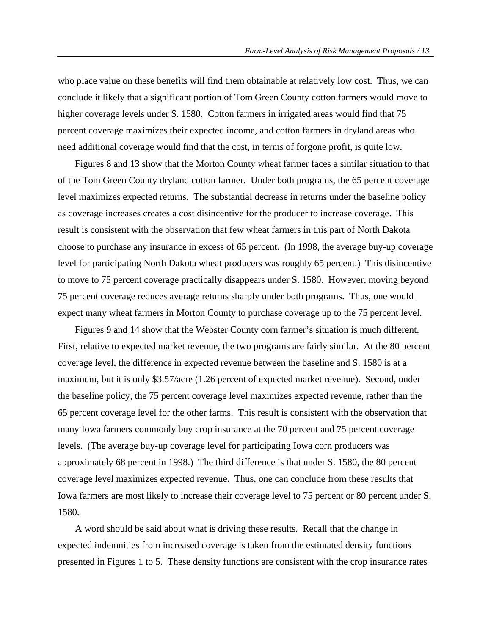who place value on these benefits will find them obtainable at relatively low cost. Thus, we can conclude it likely that a significant portion of Tom Green County cotton farmers would move to higher coverage levels under S. 1580. Cotton farmers in irrigated areas would find that 75 percent coverage maximizes their expected income, and cotton farmers in dryland areas who need additional coverage would find that the cost, in terms of forgone profit, is quite low.

Figures 8 and 13 show that the Morton County wheat farmer faces a similar situation to that of the Tom Green County dryland cotton farmer. Under both programs, the 65 percent coverage level maximizes expected returns. The substantial decrease in returns under the baseline policy as coverage increases creates a cost disincentive for the producer to increase coverage. This result is consistent with the observation that few wheat farmers in this part of North Dakota choose to purchase any insurance in excess of 65 percent. (In 1998, the average buy-up coverage level for participating North Dakota wheat producers was roughly 65 percent.) This disincentive to move to 75 percent coverage practically disappears under S. 1580. However, moving beyond 75 percent coverage reduces average returns sharply under both programs. Thus, one would expect many wheat farmers in Morton County to purchase coverage up to the 75 percent level.

Figures 9 and 14 show that the Webster County corn farmer's situation is much different. First, relative to expected market revenue, the two programs are fairly similar. At the 80 percent coverage level, the difference in expected revenue between the baseline and S. 1580 is at a maximum, but it is only \$3.57/acre (1.26 percent of expected market revenue). Second, under the baseline policy, the 75 percent coverage level maximizes expected revenue, rather than the 65 percent coverage level for the other farms. This result is consistent with the observation that many Iowa farmers commonly buy crop insurance at the 70 percent and 75 percent coverage levels. (The average buy-up coverage level for participating Iowa corn producers was approximately 68 percent in 1998.) The third difference is that under S. 1580, the 80 percent coverage level maximizes expected revenue. Thus, one can conclude from these results that Iowa farmers are most likely to increase their coverage level to 75 percent or 80 percent under S. 1580.

A word should be said about what is driving these results. Recall that the change in expected indemnities from increased coverage is taken from the estimated density functions presented in Figures 1 to 5. These density functions are consistent with the crop insurance rates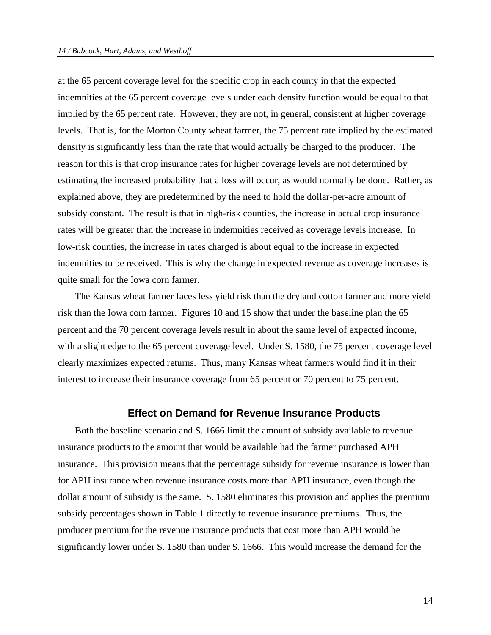at the 65 percent coverage level for the specific crop in each county in that the expected indemnities at the 65 percent coverage levels under each density function would be equal to that implied by the 65 percent rate. However, they are not, in general, consistent at higher coverage levels. That is, for the Morton County wheat farmer, the 75 percent rate implied by the estimated density is significantly less than the rate that would actually be charged to the producer. The reason for this is that crop insurance rates for higher coverage levels are not determined by estimating the increased probability that a loss will occur, as would normally be done. Rather, as explained above, they are predetermined by the need to hold the dollar-per-acre amount of subsidy constant. The result is that in high-risk counties, the increase in actual crop insurance rates will be greater than the increase in indemnities received as coverage levels increase. In low-risk counties, the increase in rates charged is about equal to the increase in expected indemnities to be received. This is why the change in expected revenue as coverage increases is quite small for the Iowa corn farmer.

The Kansas wheat farmer faces less yield risk than the dryland cotton farmer and more yield risk than the Iowa corn farmer. Figures 10 and 15 show that under the baseline plan the 65 percent and the 70 percent coverage levels result in about the same level of expected income, with a slight edge to the 65 percent coverage level. Under S. 1580, the 75 percent coverage level clearly maximizes expected returns. Thus, many Kansas wheat farmers would find it in their interest to increase their insurance coverage from 65 percent or 70 percent to 75 percent.

## **Effect on Demand for Revenue Insurance Products**

Both the baseline scenario and S. 1666 limit the amount of subsidy available to revenue insurance products to the amount that would be available had the farmer purchased APH insurance. This provision means that the percentage subsidy for revenue insurance is lower than for APH insurance when revenue insurance costs more than APH insurance, even though the dollar amount of subsidy is the same. S. 1580 eliminates this provision and applies the premium subsidy percentages shown in Table 1 directly to revenue insurance premiums. Thus, the producer premium for the revenue insurance products that cost more than APH would be significantly lower under S. 1580 than under S. 1666. This would increase the demand for the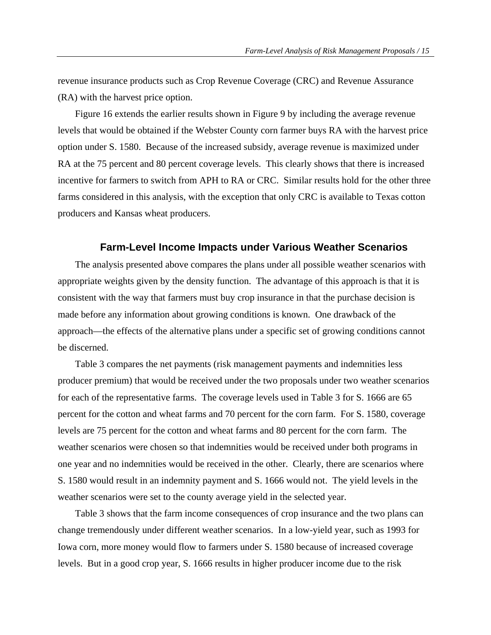revenue insurance products such as Crop Revenue Coverage (CRC) and Revenue Assurance (RA) with the harvest price option.

Figure 16 extends the earlier results shown in Figure 9 by including the average revenue levels that would be obtained if the Webster County corn farmer buys RA with the harvest price option under S. 1580. Because of the increased subsidy, average revenue is maximized under RA at the 75 percent and 80 percent coverage levels. This clearly shows that there is increased incentive for farmers to switch from APH to RA or CRC. Similar results hold for the other three farms considered in this analysis, with the exception that only CRC is available to Texas cotton producers and Kansas wheat producers.

#### **Farm-Level Income Impacts under Various Weather Scenarios**

The analysis presented above compares the plans under all possible weather scenarios with appropriate weights given by the density function. The advantage of this approach is that it is consistent with the way that farmers must buy crop insurance in that the purchase decision is made before any information about growing conditions is known. One drawback of the approach—the effects of the alternative plans under a specific set of growing conditions cannot be discerned.

Table 3 compares the net payments (risk management payments and indemnities less producer premium) that would be received under the two proposals under two weather scenarios for each of the representative farms. The coverage levels used in Table 3 for S. 1666 are 65 percent for the cotton and wheat farms and 70 percent for the corn farm. For S. 1580, coverage levels are 75 percent for the cotton and wheat farms and 80 percent for the corn farm. The weather scenarios were chosen so that indemnities would be received under both programs in one year and no indemnities would be received in the other. Clearly, there are scenarios where S. 1580 would result in an indemnity payment and S. 1666 would not. The yield levels in the weather scenarios were set to the county average yield in the selected year.

Table 3 shows that the farm income consequences of crop insurance and the two plans can change tremendously under different weather scenarios. In a low-yield year, such as 1993 for Iowa corn, more money would flow to farmers under S. 1580 because of increased coverage levels. But in a good crop year, S. 1666 results in higher producer income due to the risk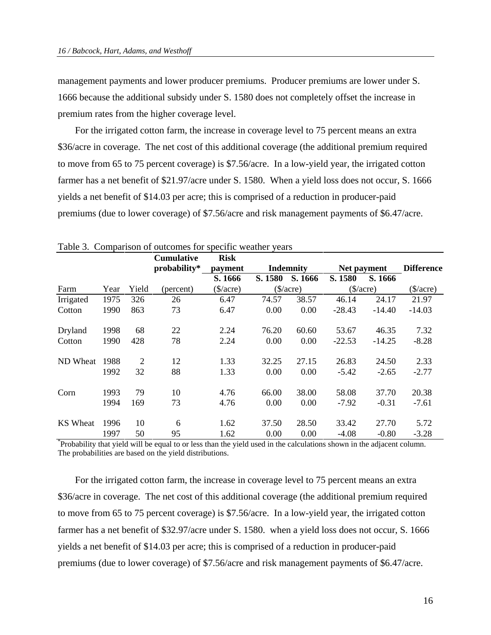management payments and lower producer premiums. Producer premiums are lower under S. 1666 because the additional subsidy under S. 1580 does not completely offset the increase in premium rates from the higher coverage level.

For the irrigated cotton farm, the increase in coverage level to 75 percent means an extra \$36/acre in coverage. The net cost of this additional coverage (the additional premium required to move from 65 to 75 percent coverage) is \$7.56/acre. In a low-yield year, the irrigated cotton farmer has a net benefit of \$21.97/acre under S. 1580. When a yield loss does not occur, S. 1666 yields a net benefit of \$14.03 per acre; this is comprised of a reduction in producer-paid premiums (due to lower coverage) of \$7.56/acre and risk management payments of \$6.47/acre.

|                 |      |                | <b>Cumulative</b> | <b>Risk</b> |             |         |             |          |                   |
|-----------------|------|----------------|-------------------|-------------|-------------|---------|-------------|----------|-------------------|
|                 |      |                | probability*      | payment     | Indemnity   |         | Net payment |          | <b>Difference</b> |
|                 |      |                |                   | S. 1666     | S. 1580     | S. 1666 | S. 1580     | S. 1666  |                   |
| Farm            | Year | Yield          | (percent)         | $(\$/acre)$ | $(\$/acre)$ |         | $(\$/acre)$ |          | $(\$/acre)$       |
| Irrigated       | 1975 | 326            | 26                | 6.47        | 74.57       | 38.57   | 46.14       | 24.17    | 21.97             |
| Cotton          | 1990 | 863            | 73                | 6.47        | 0.00        | 0.00    | $-28.43$    | $-14.40$ | $-14.03$          |
| Dryland         | 1998 | 68             | 22                | 2.24        | 76.20       | 60.60   | 53.67       | 46.35    | 7.32              |
| Cotton          | 1990 | 428            | 78                | 2.24        | 0.00        | 0.00    | $-22.53$    | $-14.25$ | $-8.28$           |
| ND Wheat        | 1988 | $\overline{2}$ | 12                | 1.33        | 32.25       | 27.15   | 26.83       | 24.50    | 2.33              |
|                 | 1992 | 32             | 88                | 1.33        | 0.00        | 0.00    | $-5.42$     | $-2.65$  | $-2.77$           |
| Corn            | 1993 | 79             | 10                | 4.76        | 66.00       | 38.00   | 58.08       | 37.70    | 20.38             |
|                 | 1994 | 169            | 73                | 4.76        | 0.00        | 0.00    | $-7.92$     | $-0.31$  | $-7.61$           |
| <b>KS</b> Wheat | 1996 | 10             | 6                 | 1.62        | 37.50       | 28.50   | 33.42       | 27.70    | 5.72              |
|                 | 1997 | 50             | 95                | 1.62        | 0.00        | 0.00    | $-4.08$     | $-0.80$  | $-3.28$           |

Table 3. Comparison of outcomes for specific weather years

\* Probability that yield will be equal to or less than the yield used in the calculations shown in the adjacent column. The probabilities are based on the yield distributions.

For the irrigated cotton farm, the increase in coverage level to 75 percent means an extra \$36/acre in coverage. The net cost of this additional coverage (the additional premium required to move from 65 to 75 percent coverage) is \$7.56/acre. In a low-yield year, the irrigated cotton farmer has a net benefit of \$32.97/acre under S. 1580. when a yield loss does not occur, S. 1666 yields a net benefit of \$14.03 per acre; this is comprised of a reduction in producer-paid premiums (due to lower coverage) of \$7.56/acre and risk management payments of \$6.47/acre.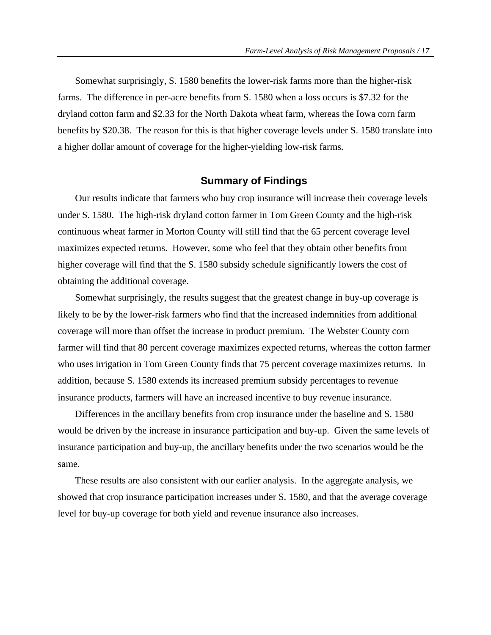Somewhat surprisingly, S. 1580 benefits the lower-risk farms more than the higher-risk farms. The difference in per-acre benefits from S. 1580 when a loss occurs is \$7.32 for the dryland cotton farm and \$2.33 for the North Dakota wheat farm, whereas the Iowa corn farm benefits by \$20.38. The reason for this is that higher coverage levels under S. 1580 translate into a higher dollar amount of coverage for the higher-yielding low-risk farms.

## **Summary of Findings**

Our results indicate that farmers who buy crop insurance will increase their coverage levels under S. 1580. The high-risk dryland cotton farmer in Tom Green County and the high-risk continuous wheat farmer in Morton County will still find that the 65 percent coverage level maximizes expected returns. However, some who feel that they obtain other benefits from higher coverage will find that the S. 1580 subsidy schedule significantly lowers the cost of obtaining the additional coverage.

Somewhat surprisingly, the results suggest that the greatest change in buy-up coverage is likely to be by the lower-risk farmers who find that the increased indemnities from additional coverage will more than offset the increase in product premium. The Webster County corn farmer will find that 80 percent coverage maximizes expected returns, whereas the cotton farmer who uses irrigation in Tom Green County finds that 75 percent coverage maximizes returns. In addition, because S. 1580 extends its increased premium subsidy percentages to revenue insurance products, farmers will have an increased incentive to buy revenue insurance.

Differences in the ancillary benefits from crop insurance under the baseline and S. 1580 would be driven by the increase in insurance participation and buy-up. Given the same levels of insurance participation and buy-up, the ancillary benefits under the two scenarios would be the same.

These results are also consistent with our earlier analysis. In the aggregate analysis, we showed that crop insurance participation increases under S. 1580, and that the average coverage level for buy-up coverage for both yield and revenue insurance also increases.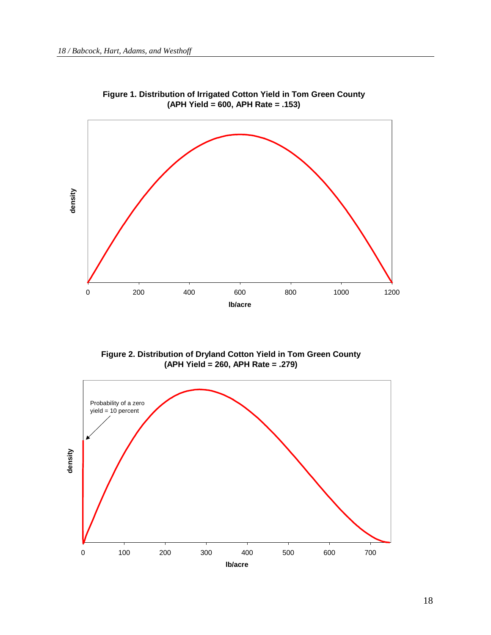



**Figure 2. Distribution of Dryland Cotton Yield in Tom Green County (APH Yield = 260, APH Rate = .279)**

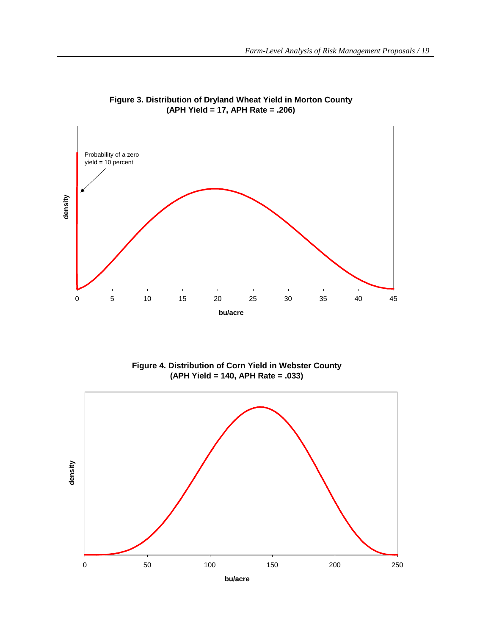

**Figure 3. Distribution of Dryland Wheat Yield in Morton County (APH Yield = 17, APH Rate = .206)**



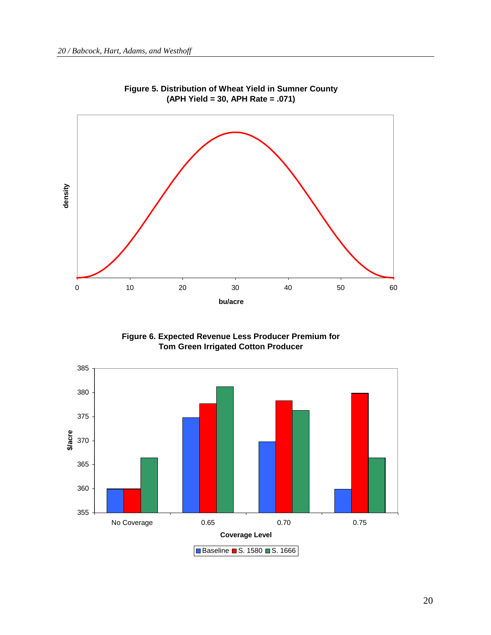

**Figure 5. Distribution of Wheat Yield in Sumner County (APH Yield = 30, APH Rate = .071)**



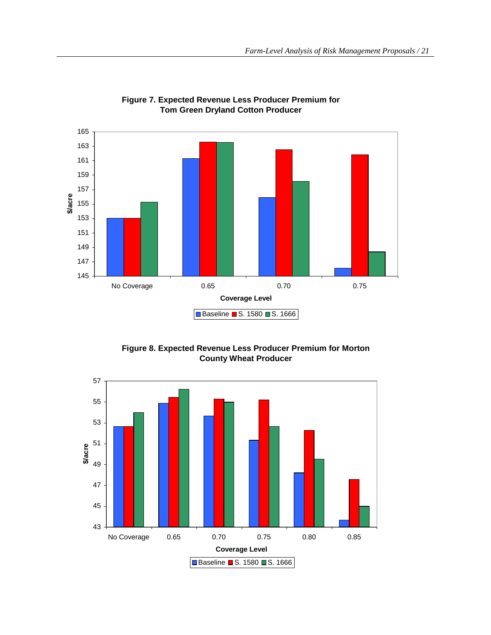

**Figure 7. Expected Revenue Less Producer Premium for Tom Green Dryland Cotton Producer**



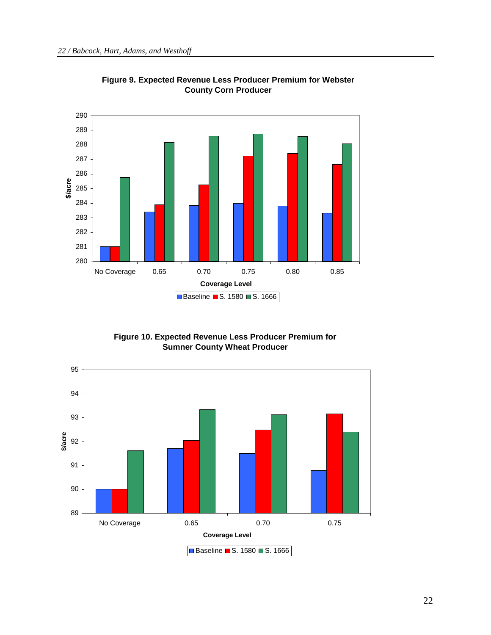

**Figure 9. Expected Revenue Less Producer Premium for Webster County Corn Producer**

**Figure 10. Expected Revenue Less Producer Premium for Sumner County Wheat Producer**

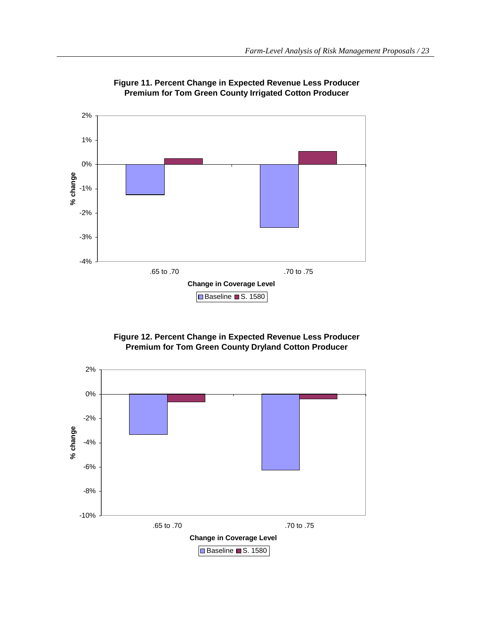

**Figure 11. Percent Change in Expected Revenue Less Producer Premium for Tom Green County Irrigated Cotton Producer**

**Figure 12. Percent Change in Expected Revenue Less Producer Premium for Tom Green County Dryland Cotton Producer**

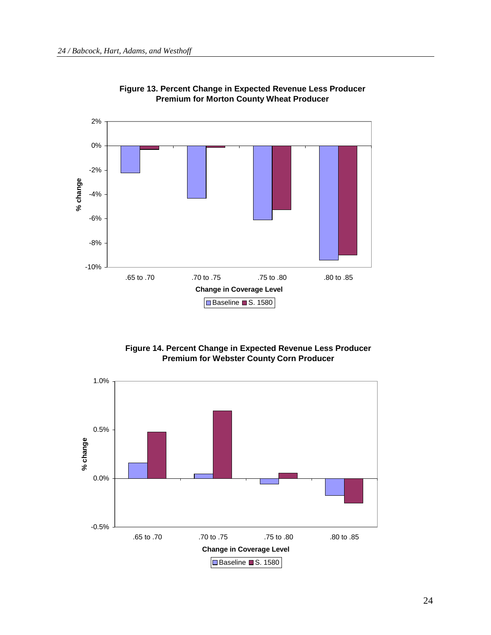



### **Figure 14. Percent Change in Expected Revenue Less Producer Premium for Webster County Corn Producer**